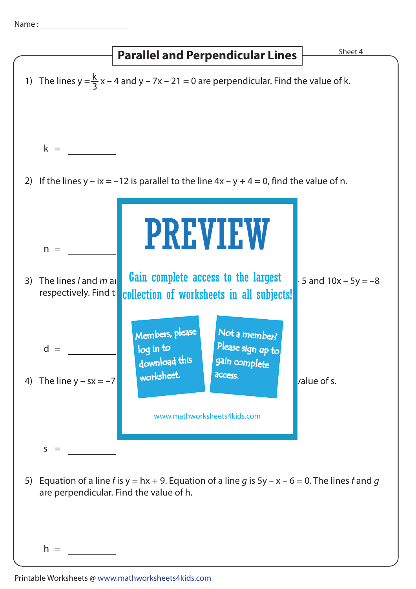